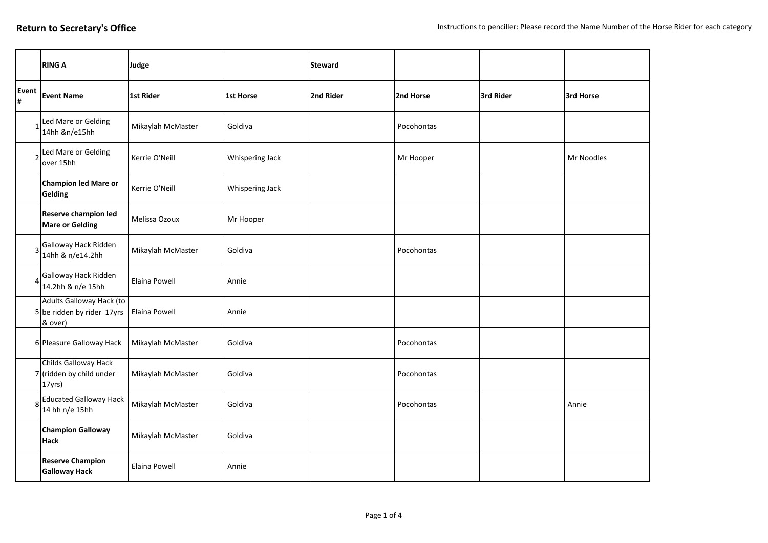|                | <b>RING A</b>                                                       | Judge             |                 | <b>Steward</b> |            |           |            |
|----------------|---------------------------------------------------------------------|-------------------|-----------------|----------------|------------|-----------|------------|
| Event<br>#     | <b>Event Name</b>                                                   | 1st Rider         | 1st Horse       | 2nd Rider      | 2nd Horse  | 3rd Rider | 3rd Horse  |
|                | Led Mare or Gelding<br>14hh &n/e15hh                                | Mikaylah McMaster | Goldiva         |                | Pocohontas |           |            |
| $\overline{2}$ | Led Mare or Gelding<br>over 15hh                                    | Kerrie O'Neill    | Whispering Jack |                | Mr Hooper  |           | Mr Noodles |
|                | <b>Champion led Mare or</b><br>Gelding                              | Kerrie O'Neill    | Whispering Jack |                |            |           |            |
|                | <b>Reserve champion led</b><br><b>Mare or Gelding</b>               | Melissa Ozoux     | Mr Hooper       |                |            |           |            |
| 3              | Galloway Hack Ridden<br>14hh & n/e14.2hh                            | Mikaylah McMaster | Goldiva         |                | Pocohontas |           |            |
| 4              | Galloway Hack Ridden<br>14.2hh & n/e 15hh                           | Elaina Powell     | Annie           |                |            |           |            |
|                | Adults Galloway Hack (to<br>$5$ be ridden by rider 17yrs<br>& over) | Elaina Powell     | Annie           |                |            |           |            |
|                | 6 Pleasure Galloway Hack                                            | Mikaylah McMaster | Goldiva         |                | Pocohontas |           |            |
|                | Childs Galloway Hack<br>$7$ (ridden by child under<br>17yrs)        | Mikaylah McMaster | Goldiva         |                | Pocohontas |           |            |
|                | 8 Educated Galloway Hack<br>14 hh n/e 15hh                          | Mikaylah McMaster | Goldiva         |                | Pocohontas |           | Annie      |
|                | <b>Champion Galloway</b><br><b>Hack</b>                             | Mikaylah McMaster | Goldiva         |                |            |           |            |
|                | <b>Reserve Champion</b><br><b>Galloway Hack</b>                     | Elaina Powell     | Annie           |                |            |           |            |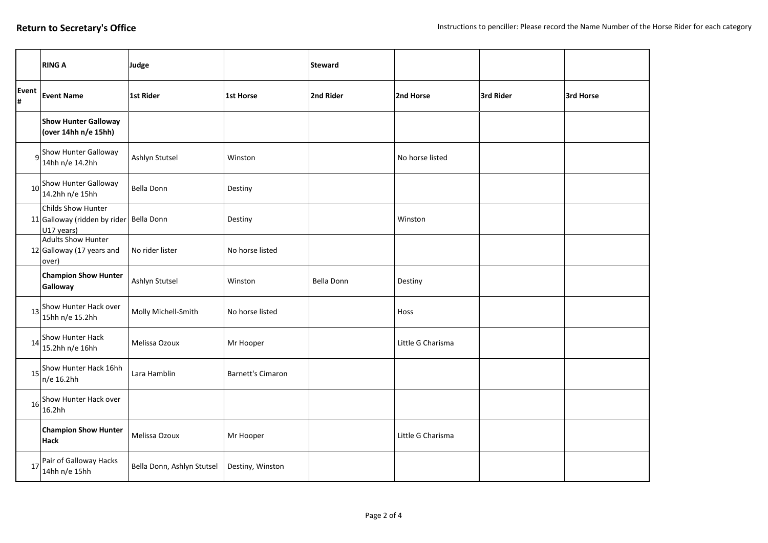|             | <b>RING A</b>                                                               | Judge                      |                          | <b>Steward</b>    |                   |           |           |
|-------------|-----------------------------------------------------------------------------|----------------------------|--------------------------|-------------------|-------------------|-----------|-----------|
| Event<br> # | <b>Event Name</b>                                                           | 1st Rider                  | 1st Horse                | 2nd Rider         | 2nd Horse         | 3rd Rider | 3rd Horse |
|             | <b>Show Hunter Galloway</b><br>(over 14hh n/e 15hh)                         |                            |                          |                   |                   |           |           |
|             | g <sup>Show</sup> Hunter Galloway<br>14hh n/e 14.2hh                        | Ashlyn Stutsel             | Winston                  |                   | No horse listed   |           |           |
| 10          | Show Hunter Galloway<br>14.2hh n/e 15hh                                     | <b>Bella Donn</b>          | Destiny                  |                   |                   |           |           |
|             | Childs Show Hunter<br>11 Galloway (ridden by rider Bella Donn<br>U17 years) |                            | Destiny                  |                   | Winston           |           |           |
|             | <b>Adults Show Hunter</b><br>12 Galloway (17 years and<br>over)             | No rider lister            | No horse listed          |                   |                   |           |           |
|             | <b>Champion Show Hunter</b><br>Galloway                                     | Ashlyn Stutsel             | Winston                  | <b>Bella Donn</b> | Destiny           |           |           |
| 13          | Show Hunter Hack over<br>15hh n/e 15.2hh                                    | Molly Michell-Smith        | No horse listed          |                   | Hoss              |           |           |
| 14          | Show Hunter Hack<br>15.2hh n/e 16hh                                         | Melissa Ozoux              | Mr Hooper                |                   | Little G Charisma |           |           |
| 15          | Show Hunter Hack 16hh<br>$n/e$ 16.2hh                                       | Lara Hamblin               | <b>Barnett's Cimaron</b> |                   |                   |           |           |
| 16          | Show Hunter Hack over<br>16.2hh                                             |                            |                          |                   |                   |           |           |
|             | <b>Champion Show Hunter</b><br>Hack                                         | Melissa Ozoux              | Mr Hooper                |                   | Little G Charisma |           |           |
| 17          | Pair of Galloway Hacks<br>14hh n/e 15hh                                     | Bella Donn, Ashlyn Stutsel | Destiny, Winston         |                   |                   |           |           |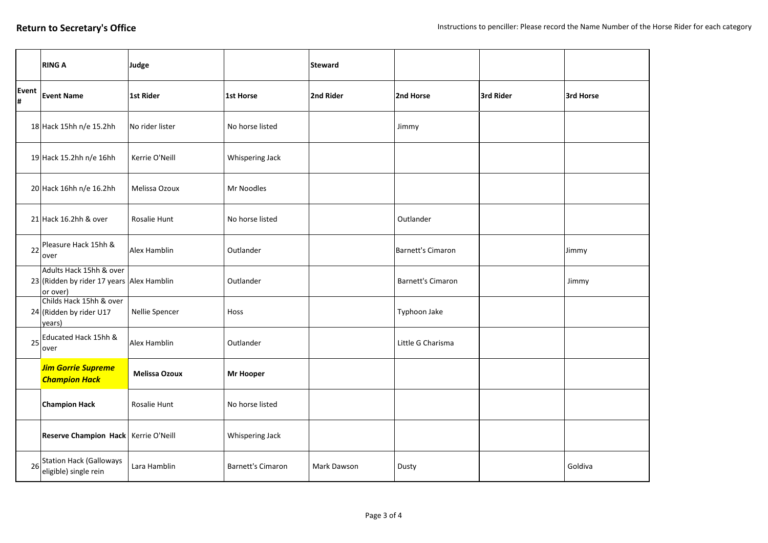|             | <b>RING A</b>                                                                    | Judge                |                          | <b>Steward</b> |                   |           |           |
|-------------|----------------------------------------------------------------------------------|----------------------|--------------------------|----------------|-------------------|-----------|-----------|
| Event<br>l# | <b>Event Name</b>                                                                | <b>1st Rider</b>     | <b>1st Horse</b>         | 2nd Rider      | 2nd Horse         | 3rd Rider | 3rd Horse |
|             | 18 Hack 15hh n/e 15.2hh                                                          | No rider lister      | No horse listed          |                | Jimmy             |           |           |
|             | 19 Hack 15.2hh n/e 16hh                                                          | Kerrie O'Neill       | Whispering Jack          |                |                   |           |           |
|             | 20 Hack 16hh n/e 16.2hh                                                          | Melissa Ozoux        | Mr Noodles               |                |                   |           |           |
|             | 21 Hack 16.2hh & over                                                            | Rosalie Hunt         | No horse listed          |                | Outlander         |           |           |
| 22          | Pleasure Hack 15hh &<br>over                                                     | Alex Hamblin         | Outlander                |                | Barnett's Cimaron |           | Jimmy     |
|             | Adults Hack 15hh & over<br>23 (Ridden by rider 17 years Alex Hamblin<br>or over) |                      | Outlander                |                | Barnett's Cimaron |           | Jimmy     |
|             | Childs Hack 15hh & over<br>$24$ (Ridden by rider U17<br>years)                   | Nellie Spencer       | Hoss                     |                | Typhoon Jake      |           |           |
| 25          | Educated Hack 15hh &<br>over                                                     | Alex Hamblin         | Outlander                |                | Little G Charisma |           |           |
|             | <b>Jim Gorrie Supreme</b><br><b>Champion Hack</b>                                | <b>Melissa Ozoux</b> | <b>Mr Hooper</b>         |                |                   |           |           |
|             | <b>Champion Hack</b>                                                             | Rosalie Hunt         | No horse listed          |                |                   |           |           |
|             | Reserve Champion Hack Kerrie O'Neill                                             |                      | Whispering Jack          |                |                   |           |           |
| 26          | <b>Station Hack (Galloways</b><br>eligible) single rein                          | Lara Hamblin         | <b>Barnett's Cimaron</b> | Mark Dawson    | Dusty             |           | Goldiva   |